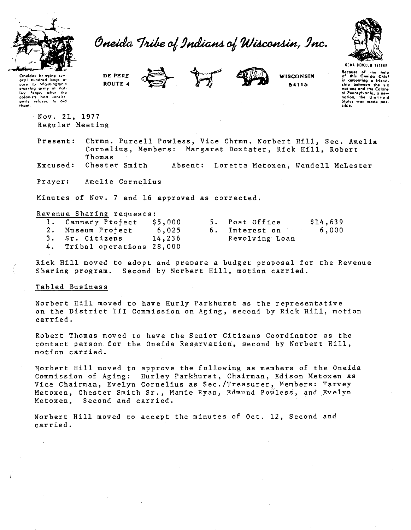

Oneida Tribe of Indians of Wisconsin, Inc.



DE PERE ROUTE 4





WISCONSIN 54115

UGWA DEHOLUN YATEHI Secause of the help<br>of this Oneida Chief in comenting a friend-<br>ship between the six of Pennsylvania, a new nation, Status was made not  $\overline{AB}$ 

Oneidas bringing sur oral hundrod corn to true...<br>starving army at Val-<br>Forea, after the lay Forge, after the colonists and consist- $\sim$ 

> Nov. 21, 1977 Regular Meeting

Chrmn. Purcell Powless, Vice Chrmn. Norbert Hill, Sec. Amelia Present: Cornelius, Members: Margaret Doxtater, Rick Hill, Robert Thomas

Chester Smith Excused: Absent: Loretta Metoxen, Wendell McLester

Prayer: Amelia Cornelius

Minutes of Nov. 7 and 16 approved as corrected.

Revenue Sharing requests:

| 1. Cannery Project \$5,000 |        | 5. Post Office           | \$14,639 |
|----------------------------|--------|--------------------------|----------|
| 2. Museum Project          | 6.025  | 6. Interest on the state | 6.000    |
| 3. Sr. Citizens            | 14,236 | Revolving Loan           |          |
|                            |        |                          |          |

Tribal operations 28,000 4.

Rick Hill moved to adopt and prepare a budget proposal for the Revenue Sharing program. Second by Norbert Hill, motion carried.

# Tabled Business

Norbert Hill moved to have Hurly Parkhurst as the representative on the District III Commission on Aging, second by Rick Hill, motion carried.

Robert Thomas moved to have the Senior Citizens Coordinator as the contact person for the Oneida Reservation, second by Norbert Hill, motion carried.

Norbert Hill moved to approve the following as members of the Oneida Commission of Aging: Hurley Parkhurst, Chairman, Edison Metoxen as Vice Chairman, Evelyn Cornelius as Sec./Treasurer, Members: Harvey Metoxen, Chester Smith Sr., Mamie Ryan, Edmund Powless, and Evelyn Metoxen. Second and carried.

Norbert Hill moved to accept the minutes of Oct. 12, Second and carried.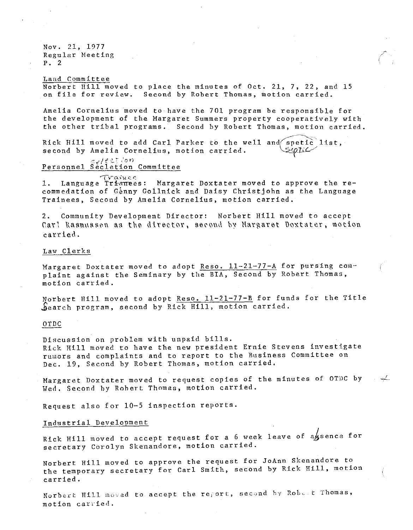Nov. 21, 1977 Regular Heeting p. 2

Land Committee Norbert Hill moved to place the minutes of Oct. 21, 7, 22, and 15 on file for review. Second by Robert Thomas, motion carried.

Amelia Cornelius moved to have the 701 program be responsible for the development of the Margaret Summers property cooperatively with the other tribal programs. Second by Robert Thomas, motion carried.

···~·

Rick Hill moved to add Carl Parker to the well and spetic list, second by Amelia Cornelius, motion carried.  $\simeq$ pt: $\backsim$ 

Personnel Secletion Committee

 $T$ rainer 1. Language Trianees: Margaret Doxtater moved to approve the recommedation of Génny Gollnick and Daisy Christjohn as the Language Trainees, Second by Amelia Cornelius, motion carried.

2. Community Development Director: Norbert Hill moved to accept Carl Raamuasen aa the director, second by Margaret Doxtater, motion carried.

#### Law Clerks

Margaret Doxtater moved to adopt Reso.  $11-21-77-A$  for pursing complaint against the Seminary by the BIA, Second by Robert Thomas, motion carried.

Norbert Hill moved to adopt Reso. 11-21-77-B for funds for the Title \$earch program, second by Rick Hill, motion carried.

#### OTDC

Discussion on problem with unpaid bills. Rick Hill moved to have the new president Ernie Stevens investigate rumors and complaints and to report to the Business Committee on Dec. 19, Second by Robert Thomas, motion carried.

Margaret Doxtater moved to request copies of the minutes of OTDC by  $\rightarrow$ Wed. Second hy Robert Thomas, motion carried.

Request also for 10-5 inspection reports.

# Industrial Development

Rick Hill moved to accept request for a 6 week leave of assence for secretary Corolyn Skenandore, motion carried.

Norbert Hill moved to approve the request for JoAnn Skenandore to the temporary secretary for Carl Smith, second by Rick Hill, motion carried.

Norbert Hill moved to accept the report, second by Robert Thomas, motion carried.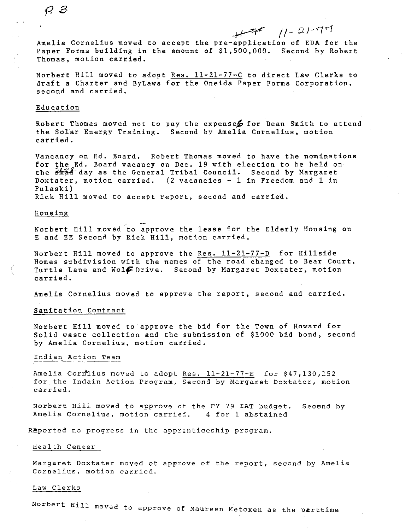# Amelia Cornelius moved to accept the pre-application of EDA for the Paper Forms building in the amount of \$1,500,000. Second by Robert Thomas, motion carried.

Norbert Hill moved to adopt Res. 11-21-77-C to direct Law Clerks to draft a Charter and ByLaws for the Oneida Paper Forms Corporation, second and carried.

## Education

Robert Thomas moved not to pay the expenses for Dean Smith to attend the Solar Energy Training. Second by Amelia Cornelius, motion carried.

Vancancy on Ed. Board. Robert Thomas moved to have the nominations for the Ed. Board vacancy on Dec. 19 with election to be held on the  $\frac{24}{300}$  day as the General Tribal Council. Second by Margaret Doxtater, motion carried. (2 vacancies - 1 in Freedom and 1 in Pulaski) Rick Hill moved to accept report, second and carried.

Housing

Norbert Hill moved to approve the lease for the Elderly Housing on E and EE Second by Rick Hill, motion carried.

Norbert Hill moved to approve the Res. 11-21-77-D for Hillside Homes subdivision with the names of the road changed to Bear Court, Turtle Lane and Wolff Drive. Second by Margaret Doxtater, motion carried.

Amelia Cornelius moved to approve the report, second and carried.

# Sanitation Contract

Norbert Hill moved to approve the bid for the Town of Howard for Solid waste collection and the submission of \$1000 bid bond, second by Amelia Cornelius, motion carried.

#### Indian Action Team

Amelia Cornius moved to adopt Res.  $11-21-77-E$  for  $$47,130,152$ for the Indain Action Program, Second by Margaret Doxtater, motion **carried.** 

Norbert Hill moved to approve of the FY 79 IAT budget. Seoend by **Amelia Cornelius, motion carried. 4 for 1 abstained** 

Raported no progress in the apprenticeship program.

#### Health Center

Margaret Doxtater moved ot approve of the report, second by Amelia **Coraelius, motion carried.** 

#### Law Clerks

Norbert Hill moved to approve of Maureen Metoxen as the parttime